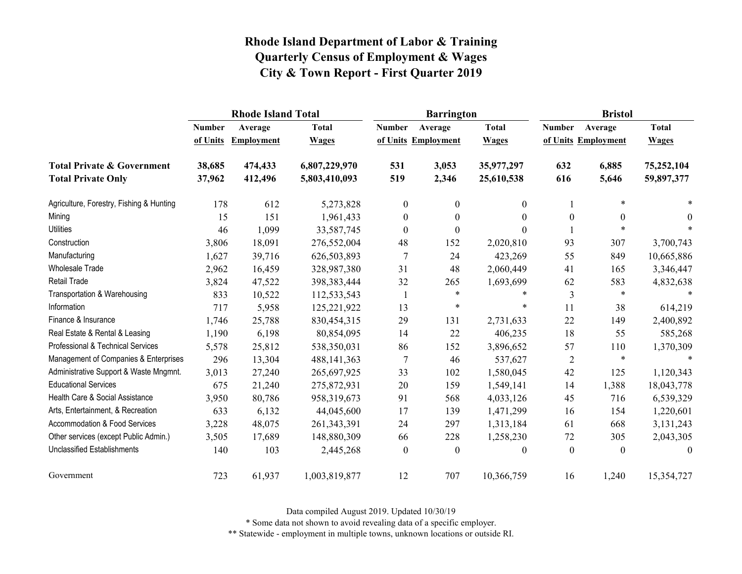|                                          |               | <b>Rhode Island Total</b> |               |                  | <b>Barrington</b>   |                  | <b>Bristol</b>   |                     |                  |
|------------------------------------------|---------------|---------------------------|---------------|------------------|---------------------|------------------|------------------|---------------------|------------------|
|                                          | <b>Number</b> | Average                   | <b>Total</b>  | <b>Number</b>    | Average             | <b>Total</b>     | <b>Number</b>    | Average             | <b>Total</b>     |
|                                          | of Units      | <b>Employment</b>         | <b>Wages</b>  |                  | of Units Employment | <b>Wages</b>     |                  | of Units Employment | <b>Wages</b>     |
| <b>Total Private &amp; Government</b>    | 38,685        | 474,433                   | 6,807,229,970 | 531              | 3,053               | 35,977,297       | 632              | 6,885               | 75,252,104       |
| <b>Total Private Only</b>                | 37,962        | 412,496                   | 5,803,410,093 | 519              | 2,346               | 25,610,538       | 616              | 5,646               | 59,897,377       |
| Agriculture, Forestry, Fishing & Hunting | 178           | 612                       | 5,273,828     | $\mathbf{0}$     | $\mathbf{0}$        | $\theta$         |                  | $\ast$              |                  |
| Mining                                   | 15            | 151                       | 1,961,433     | $\boldsymbol{0}$ | $\boldsymbol{0}$    | $\theta$         | $\boldsymbol{0}$ | $\boldsymbol{0}$    | $\theta$         |
| <b>Utilities</b>                         | 46            | 1,099                     | 33,587,745    | $\mathbf{0}$     | $\boldsymbol{0}$    | $\theta$         |                  | $\ast$              | $\ast$           |
| Construction                             | 3,806         | 18,091                    | 276,552,004   | 48               | 152                 | 2,020,810        | 93               | 307                 | 3,700,743        |
| Manufacturing                            | 1,627         | 39,716                    | 626,503,893   | 7                | 24                  | 423,269          | 55               | 849                 | 10,665,886       |
| Wholesale Trade                          | 2,962         | 16,459                    | 328,987,380   | 31               | 48                  | 2,060,449        | 41               | 165                 | 3,346,447        |
| Retail Trade                             | 3,824         | 47,522                    | 398, 383, 444 | 32               | 265                 | 1,693,699        | 62               | 583                 | 4,832,638        |
| Transportation & Warehousing             | 833           | 10,522                    | 112,533,543   | 1                | $\ast$              | $\ast$           | 3                | $\ast$              | $\ast$           |
| Information                              | 717           | 5,958                     | 125,221,922   | 13               | $\ast$              | $\ast$           | 11               | 38                  | 614,219          |
| Finance & Insurance                      | 1,746         | 25,788                    | 830,454,315   | 29               | 131                 | 2,731,633        | 22               | 149                 | 2,400,892        |
| Real Estate & Rental & Leasing           | 1,190         | 6,198                     | 80,854,095    | 14               | 22                  | 406,235          | 18               | 55                  | 585,268          |
| Professional & Technical Services        | 5,578         | 25,812                    | 538,350,031   | 86               | 152                 | 3,896,652        | 57               | 110                 | 1,370,309        |
| Management of Companies & Enterprises    | 296           | 13,304                    | 488, 141, 363 | 7                | 46                  | 537,627          | $\overline{2}$   | $\ast$              | $\ast$           |
| Administrative Support & Waste Mngmnt.   | 3,013         | 27,240                    | 265,697,925   | 33               | 102                 | 1,580,045        | 42               | 125                 | 1,120,343        |
| <b>Educational Services</b>              | 675           | 21,240                    | 275,872,931   | 20               | 159                 | 1,549,141        | 14               | 1,388               | 18,043,778       |
| Health Care & Social Assistance          | 3,950         | 80,786                    | 958,319,673   | 91               | 568                 | 4,033,126        | 45               | 716                 | 6,539,329        |
| Arts, Entertainment, & Recreation        | 633           | 6,132                     | 44,045,600    | 17               | 139                 | 1,471,299        | 16               | 154                 | 1,220,601        |
| Accommodation & Food Services            | 3,228         | 48,075                    | 261, 343, 391 | 24               | 297                 | 1,313,184        | 61               | 668                 | 3,131,243        |
| Other services (except Public Admin.)    | 3,505         | 17,689                    | 148,880,309   | 66               | 228                 | 1,258,230        | 72               | 305                 | 2,043,305        |
| <b>Unclassified Establishments</b>       | 140           | 103                       | 2,445,268     | $\boldsymbol{0}$ | $\boldsymbol{0}$    | $\boldsymbol{0}$ | $\boldsymbol{0}$ | $\boldsymbol{0}$    | $\boldsymbol{0}$ |
| Government                               | 723           | 61,937                    | 1,003,819,877 | 12               | 707                 | 10,366,759       | 16               | 1,240               | 15,354,727       |

Data compiled August 2019. Updated 10/30/19

\* Some data not shown to avoid revealing data of a specific employer.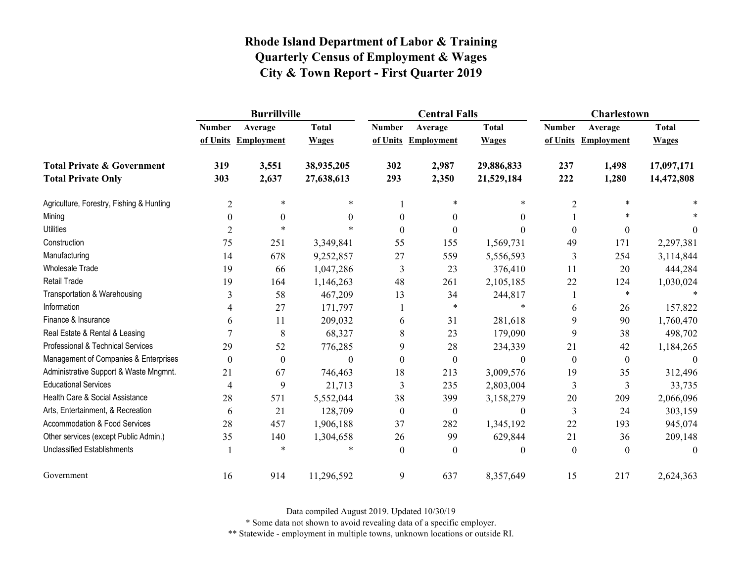|                                          |                  | <b>Burrillville</b> |                  |                  | <b>Central Falls</b> |                  | Charlestown             |                     |              |
|------------------------------------------|------------------|---------------------|------------------|------------------|----------------------|------------------|-------------------------|---------------------|--------------|
|                                          | <b>Number</b>    | Average             | <b>Total</b>     | <b>Number</b>    | Average              | <b>Total</b>     | <b>Number</b>           | Average             | <b>Total</b> |
|                                          |                  | of Units Employment | <b>Wages</b>     |                  | of Units Employment  | <b>Wages</b>     |                         | of Units Employment | <b>Wages</b> |
| <b>Total Private &amp; Government</b>    | 319              | 3,551               | 38,935,205       | 302              | 2,987                | 29,886,833       | 237                     | 1,498               | 17,097,171   |
| <b>Total Private Only</b>                | 303              | 2,637               | 27,638,613       | 293              | 2,350                | 21,529,184       | 222                     | 1,280               | 14,472,808   |
| Agriculture, Forestry, Fishing & Hunting | $\overline{2}$   | $\ast$              | $\ast$           |                  | $\ast$               | *                | $\overline{2}$          | *                   |              |
| Mining                                   | $\mathbf{0}$     | $\theta$            | 0                | $\theta$         | $\theta$             | $\theta$         |                         | $\ast$              |              |
| <b>Utilities</b>                         | 2                | $\ast$              | $\ast$           | 0                | 0                    | $\Omega$         | $\theta$                | $\boldsymbol{0}$    | $\Omega$     |
| Construction                             | 75               | 251                 | 3,349,841        | 55               | 155                  | 1,569,731        | 49                      | 171                 | 2,297,381    |
| Manufacturing                            | 14               | 678                 | 9,252,857        | 27               | 559                  | 5,556,593        | 3                       | 254                 | 3,114,844    |
| <b>Wholesale Trade</b>                   | 19               | 66                  | 1,047,286        | 3                | 23                   | 376,410          | 11                      | 20                  | 444,284      |
| <b>Retail Trade</b>                      | 19               | 164                 | 1,146,263        | 48               | 261                  | 2,105,185        | 22                      | 124                 | 1,030,024    |
| Transportation & Warehousing             | 3                | 58                  | 467,209          | 13               | 34                   | 244,817          |                         | $\ast$              | $\ast$       |
| Information                              | 4                | 27                  | 171,797          |                  | *                    | $\ast$           | 6                       | 26                  | 157,822      |
| Finance & Insurance                      | 6                | 11                  | 209,032          | 6                | 31                   | 281,618          | 9                       | 90                  | 1,760,470    |
| Real Estate & Rental & Leasing           |                  | 8                   | 68,327           | 8                | 23                   | 179,090          | 9                       | 38                  | 498,702      |
| Professional & Technical Services        | 29               | 52                  | 776,285          | 9                | 28                   | 234,339          | 21                      | 42                  | 1,184,265    |
| Management of Companies & Enterprises    | $\boldsymbol{0}$ | $\boldsymbol{0}$    | $\boldsymbol{0}$ | $\theta$         | $\boldsymbol{0}$     | $\boldsymbol{0}$ | $\boldsymbol{0}$        | $\boldsymbol{0}$    | $\mathbf{0}$ |
| Administrative Support & Waste Mngmnt.   | 21               | 67                  | 746,463          | 18               | 213                  | 3,009,576        | 19                      | 35                  | 312,496      |
| <b>Educational Services</b>              | 4                | 9                   | 21,713           | 3                | 235                  | 2,803,004        | $\overline{\mathbf{3}}$ | 3                   | 33,735       |
| Health Care & Social Assistance          | 28               | 571                 | 5,552,044        | 38               | 399                  | 3,158,279        | 20                      | 209                 | 2,066,096    |
| Arts, Entertainment, & Recreation        | 6                | 21                  | 128,709          | $\boldsymbol{0}$ | $\mathbf{0}$         | $\boldsymbol{0}$ | 3                       | 24                  | 303,159      |
| Accommodation & Food Services            | 28               | 457                 | 1,906,188        | 37               | 282                  | 1,345,192        | 22                      | 193                 | 945,074      |
| Other services (except Public Admin.)    | 35               | 140                 | 1,304,658        | 26               | 99                   | 629,844          | 21                      | 36                  | 209,148      |
| <b>Unclassified Establishments</b>       |                  | $\ast$              | *                | $\mathbf{0}$     | $\theta$             | $\boldsymbol{0}$ | $\boldsymbol{0}$        | $\mathbf{0}$        | $\theta$     |
| Government                               | 16               | 914                 | 11,296,592       | 9                | 637                  | 8,357,649        | 15                      | 217                 | 2,624,363    |

Data compiled August 2019. Updated 10/30/19

\* Some data not shown to avoid revealing data of a specific employer.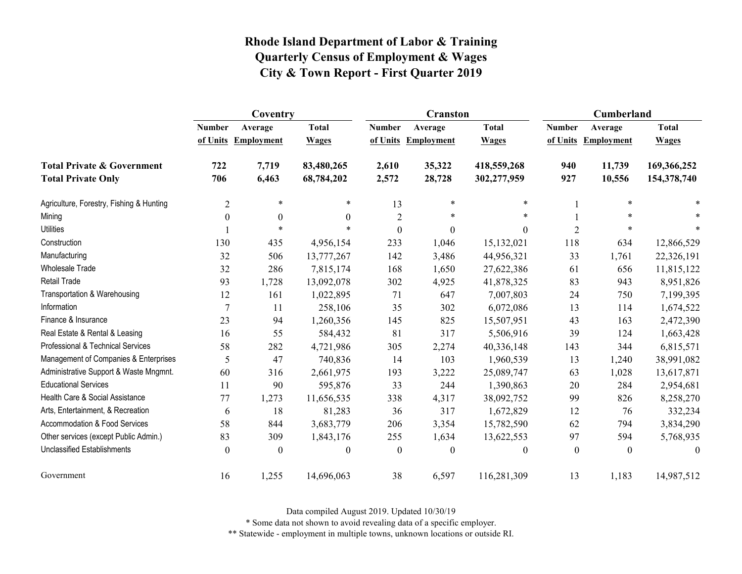|                                          | Coventry         |                   |                  |                  | Cranston            |              | Cumberland     |                     |              |
|------------------------------------------|------------------|-------------------|------------------|------------------|---------------------|--------------|----------------|---------------------|--------------|
|                                          | <b>Number</b>    | Average           | <b>Total</b>     | <b>Number</b>    | Average             | <b>Total</b> | <b>Number</b>  | Average             | <b>Total</b> |
|                                          | of Units         | <b>Employment</b> | <b>Wages</b>     |                  | of Units Employment | <b>Wages</b> |                | of Units Employment | <b>Wages</b> |
| <b>Total Private &amp; Government</b>    | 722              | 7,719             | 83,480,265       | 2,610            | 35,322              | 418,559,268  | 940            | 11,739              | 169,366,252  |
| <b>Total Private Only</b>                | 706              | 6,463             | 68,784,202       | 2,572            | 28,728              | 302,277,959  | 927            | 10,556              | 154,378,740  |
| Agriculture, Forestry, Fishing & Hunting | $\overline{2}$   | $\ast$            | $\ast$           | 13               | $\ast$              | $\ast$       |                | $\ast$              | $\ast$       |
| Mining                                   | $\boldsymbol{0}$ | $\boldsymbol{0}$  | $\mathbf{0}$     | $\sqrt{2}$       | *                   | $\ast$       |                | *                   |              |
| <b>Utilities</b>                         |                  | $\ast$            | $\ast$           | $\mathbf{0}$     | $\boldsymbol{0}$    | $\Omega$     | $\overline{2}$ |                     |              |
| Construction                             | 130              | 435               | 4,956,154        | 233              | 1,046               | 15,132,021   | 118            | 634                 | 12,866,529   |
| Manufacturing                            | 32               | 506               | 13,777,267       | 142              | 3,486               | 44,956,321   | 33             | 1,761               | 22,326,191   |
| <b>Wholesale Trade</b>                   | 32               | 286               | 7,815,174        | 168              | 1,650               | 27,622,386   | 61             | 656                 | 11,815,122   |
| <b>Retail Trade</b>                      | 93               | 1,728             | 13,092,078       | 302              | 4,925               | 41,878,325   | 83             | 943                 | 8,951,826    |
| Transportation & Warehousing             | 12               | 161               | 1,022,895        | 71               | 647                 | 7,007,803    | 24             | 750                 | 7,199,395    |
| Information                              | 7                | 11                | 258,106          | 35               | 302                 | 6,072,086    | 13             | 114                 | 1,674,522    |
| Finance & Insurance                      | 23               | 94                | 1,260,356        | 145              | 825                 | 15,507,951   | 43             | 163                 | 2,472,390    |
| Real Estate & Rental & Leasing           | 16               | 55                | 584,432          | 81               | 317                 | 5,506,916    | 39             | 124                 | 1,663,428    |
| Professional & Technical Services        | 58               | 282               | 4,721,986        | 305              | 2,274               | 40,336,148   | 143            | 344                 | 6,815,571    |
| Management of Companies & Enterprises    | 5                | 47                | 740,836          | 14               | 103                 | 1,960,539    | 13             | 1,240               | 38,991,082   |
| Administrative Support & Waste Mngmnt.   | 60               | 316               | 2,661,975        | 193              | 3,222               | 25,089,747   | 63             | 1,028               | 13,617,871   |
| <b>Educational Services</b>              | 11               | 90                | 595,876          | 33               | 244                 | 1,390,863    | 20             | 284                 | 2,954,681    |
| Health Care & Social Assistance          | 77               | 1,273             | 11,656,535       | 338              | 4,317               | 38,092,752   | 99             | 826                 | 8,258,270    |
| Arts, Entertainment, & Recreation        | 6                | 18                | 81,283           | 36               | 317                 | 1,672,829    | 12             | 76                  | 332,234      |
| Accommodation & Food Services            | 58               | 844               | 3,683,779        | 206              | 3,354               | 15,782,590   | 62             | 794                 | 3,834,290    |
| Other services (except Public Admin.)    | 83               | 309               | 1,843,176        | 255              | 1,634               | 13,622,553   | 97             | 594                 | 5,768,935    |
| <b>Unclassified Establishments</b>       | $\boldsymbol{0}$ | $\theta$          | $\boldsymbol{0}$ | $\boldsymbol{0}$ | $\theta$            | $\theta$     | $\mathbf{0}$   | $\mathbf{0}$        | $\theta$     |
| Government                               | 16               | 1,255             | 14,696,063       | 38               | 6,597               | 116,281,309  | 13             | 1,183               | 14,987,512   |

Data compiled August 2019. Updated 10/30/19

\* Some data not shown to avoid revealing data of a specific employer.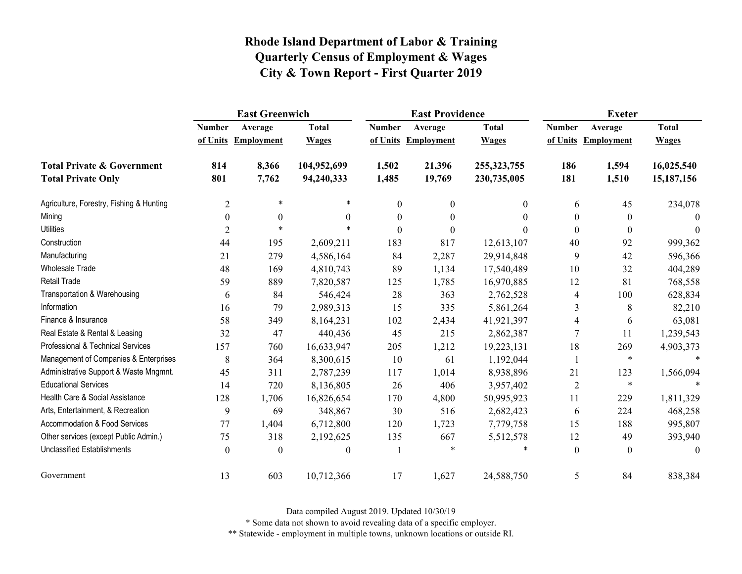|                                          | <b>East Greenwich</b> |                     |              |                  | <b>East Providence</b> |               | <b>Exeter</b>    |                     |              |
|------------------------------------------|-----------------------|---------------------|--------------|------------------|------------------------|---------------|------------------|---------------------|--------------|
|                                          | <b>Number</b>         | Average             | <b>Total</b> | <b>Number</b>    | Average                | <b>Total</b>  | <b>Number</b>    | Average             | <b>Total</b> |
|                                          |                       | of Units Employment | <b>Wages</b> |                  | of Units Employment    | <b>Wages</b>  |                  | of Units Employment | <b>Wages</b> |
| <b>Total Private &amp; Government</b>    | 814                   | 8,366               | 104,952,699  | 1,502            | 21,396                 | 255, 323, 755 | 186              | 1,594               | 16,025,540   |
| <b>Total Private Only</b>                | 801                   | 7,762               | 94,240,333   | 1,485            | 19,769                 | 230,735,005   | 181              | 1,510               | 15,187,156   |
| Agriculture, Forestry, Fishing & Hunting | $\overline{2}$        | $\ast$              | $\ast$       | $\boldsymbol{0}$ | $\boldsymbol{0}$       | $\mathbf{0}$  | 6                | 45                  | 234,078      |
| Mining                                   | $\boldsymbol{0}$      | $\boldsymbol{0}$    | $\mathbf{0}$ | $\boldsymbol{0}$ | $\boldsymbol{0}$       | $\theta$      | $\boldsymbol{0}$ | $\boldsymbol{0}$    | $\theta$     |
| <b>Utilities</b>                         | $\overline{2}$        | $\ast$              | $\ast$       | $\theta$         | $\theta$               | $\Omega$      | $\theta$         | $\mathbf{0}$        | $\Omega$     |
| Construction                             | 44                    | 195                 | 2,609,211    | 183              | 817                    | 12,613,107    | 40               | 92                  | 999,362      |
| Manufacturing                            | 21                    | 279                 | 4,586,164    | 84               | 2,287                  | 29,914,848    | 9                | 42                  | 596,366      |
| Wholesale Trade                          | 48                    | 169                 | 4,810,743    | 89               | 1,134                  | 17,540,489    | 10               | 32                  | 404,289      |
| Retail Trade                             | 59                    | 889                 | 7,820,587    | 125              | 1,785                  | 16,970,885    | 12               | 81                  | 768,558      |
| Transportation & Warehousing             | 6                     | 84                  | 546,424      | 28               | 363                    | 2,762,528     | 4                | 100                 | 628,834      |
| Information                              | 16                    | 79                  | 2,989,313    | 15               | 335                    | 5,861,264     | 3                | 8                   | 82,210       |
| Finance & Insurance                      | 58                    | 349                 | 8,164,231    | 102              | 2,434                  | 41,921,397    | 4                | 6                   | 63,081       |
| Real Estate & Rental & Leasing           | 32                    | 47                  | 440,436      | 45               | 215                    | 2,862,387     | $\tau$           | 11                  | 1,239,543    |
| Professional & Technical Services        | 157                   | 760                 | 16,633,947   | 205              | 1,212                  | 19,223,131    | 18               | 269                 | 4,903,373    |
| Management of Companies & Enterprises    | 8                     | 364                 | 8,300,615    | 10               | 61                     | 1,192,044     | 1                | $\ast$              | $\ast$       |
| Administrative Support & Waste Mngmnt.   | 45                    | 311                 | 2,787,239    | 117              | 1,014                  | 8,938,896     | 21               | 123                 | 1,566,094    |
| <b>Educational Services</b>              | 14                    | 720                 | 8,136,805    | 26               | 406                    | 3,957,402     | $\overline{2}$   | $\ast$              |              |
| Health Care & Social Assistance          | 128                   | 1,706               | 16,826,654   | 170              | 4,800                  | 50,995,923    | 11               | 229                 | 1,811,329    |
| Arts, Entertainment, & Recreation        | 9                     | 69                  | 348,867      | 30               | 516                    | 2,682,423     | 6                | 224                 | 468,258      |
| Accommodation & Food Services            | 77                    | 1,404               | 6,712,800    | 120              | 1,723                  | 7,779,758     | 15               | 188                 | 995,807      |
| Other services (except Public Admin.)    | 75                    | 318                 | 2,192,625    | 135              | 667                    | 5,512,578     | 12               | 49                  | 393,940      |
| <b>Unclassified Establishments</b>       | $\boldsymbol{0}$      | $\boldsymbol{0}$    | $\mathbf{0}$ | 1                | *                      | ∗             | $\boldsymbol{0}$ | $\mathbf{0}$        | $\theta$     |
| Government                               | 13                    | 603                 | 10,712,366   | 17               | 1,627                  | 24,588,750    | 5                | 84                  | 838,384      |

Data compiled August 2019. Updated 10/30/19

\* Some data not shown to avoid revealing data of a specific employer.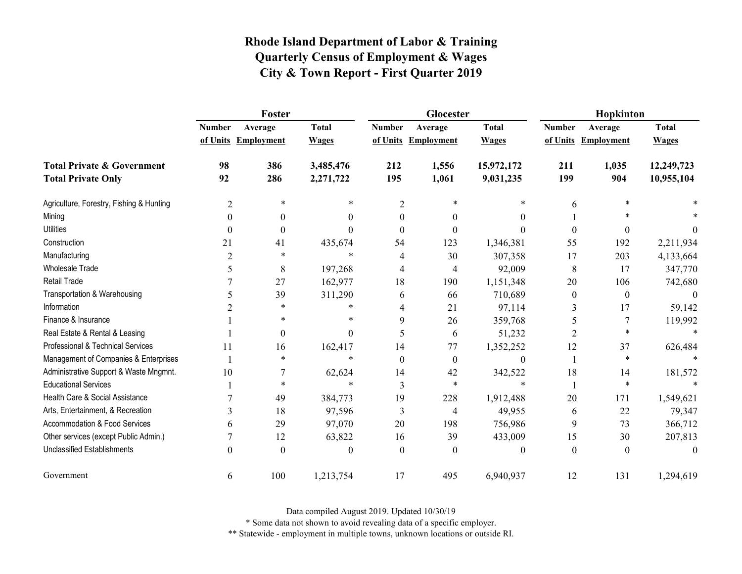|                                          | Foster         |                     |              |                  | Glocester           |                  | Hopkinton        |                     |              |
|------------------------------------------|----------------|---------------------|--------------|------------------|---------------------|------------------|------------------|---------------------|--------------|
|                                          | <b>Number</b>  | Average             | <b>Total</b> | <b>Number</b>    | Average             | <b>Total</b>     | <b>Number</b>    | Average             | <b>Total</b> |
|                                          |                | of Units Employment | <b>Wages</b> |                  | of Units Employment | <b>Wages</b>     |                  | of Units Employment | <b>Wages</b> |
| <b>Total Private &amp; Government</b>    | 98             | 386                 | 3,485,476    | 212              | 1,556               | 15,972,172       | 211              | 1,035               | 12,249,723   |
| <b>Total Private Only</b>                | 92             | 286                 | 2,271,722    | 195              | 1,061               | 9,031,235        | 199              | 904                 | 10,955,104   |
| Agriculture, Forestry, Fishing & Hunting | $\overline{2}$ | $\ast$              | *            | $\overline{2}$   | *                   | $\ast$           | 6                | *                   |              |
| Mining                                   | $\theta$       | $\theta$            | 0            | $\theta$         | $\theta$            | 0                |                  | $\ast$              |              |
| <b>Utilities</b>                         | $\Omega$       | $\theta$            | 0            | 0                | 0                   | $\Omega$         | $\theta$         | $\theta$            |              |
| Construction                             | 21             | 41                  | 435,674      | 54               | 123                 | 1,346,381        | 55               | 192                 | 2,211,934    |
| Manufacturing                            | 2              | $\ast$              | $\ast$       | 4                | 30                  | 307,358          | 17               | 203                 | 4,133,664    |
| <b>Wholesale Trade</b>                   | 5              | 8                   | 197,268      | 4                | 4                   | 92,009           | 8                | 17                  | 347,770      |
| <b>Retail Trade</b>                      |                | 27                  | 162,977      | 18               | 190                 | 1,151,348        | 20               | 106                 | 742,680      |
| Transportation & Warehousing             | 5              | 39                  | 311,290      | 6                | 66                  | 710,689          | $\boldsymbol{0}$ | $\mathbf{0}$        | $\Omega$     |
| Information                              |                | $\ast$              | $\ast$       | 4                | 21                  | 97,114           | 3                | 17                  | 59,142       |
| Finance & Insurance                      |                | ∗                   | *            | 9                | 26                  | 359,768          | 5                | 7                   | 119,992      |
| Real Estate & Rental & Leasing           |                | $\boldsymbol{0}$    | $\theta$     | 5                | 6                   | 51,232           | $\overline{2}$   | *                   | $\ast$       |
| Professional & Technical Services        | 11             | 16                  | 162,417      | 14               | 77                  | 1,352,252        | 12               | 37                  | 626,484      |
| Management of Companies & Enterprises    |                | $\ast$              | $\ast$       | $\boldsymbol{0}$ | $\theta$            | $\theta$         |                  | $\ast$              |              |
| Administrative Support & Waste Mngmnt.   | 10             |                     | 62,624       | 14               | 42                  | 342,522          | 18               | 14                  | 181,572      |
| <b>Educational Services</b>              |                | $\ast$              | $\ast$       | 3                | $\ast$              | $\ast$           |                  | $\ast$              |              |
| Health Care & Social Assistance          |                | 49                  | 384,773      | 19               | 228                 | 1,912,488        | 20               | 171                 | 1,549,621    |
| Arts, Entertainment, & Recreation        | 3              | 18                  | 97,596       | 3                | 4                   | 49,955           | 6                | 22                  | 79,347       |
| Accommodation & Food Services            | 6              | 29                  | 97,070       | 20               | 198                 | 756,986          | 9                | 73                  | 366,712      |
| Other services (except Public Admin.)    |                | 12                  | 63,822       | 16               | 39                  | 433,009          | 15               | 30                  | 207,813      |
| <b>Unclassified Establishments</b>       | $\theta$       | $\theta$            | 0            | $\mathbf{0}$     | $\theta$            | $\boldsymbol{0}$ | $\boldsymbol{0}$ | $\mathbf{0}$        | $\theta$     |
| Government                               | 6              | 100                 | 1,213,754    | 17               | 495                 | 6,940,937        | 12               | 131                 | 1,294,619    |

Data compiled August 2019. Updated 10/30/19

\* Some data not shown to avoid revealing data of a specific employer.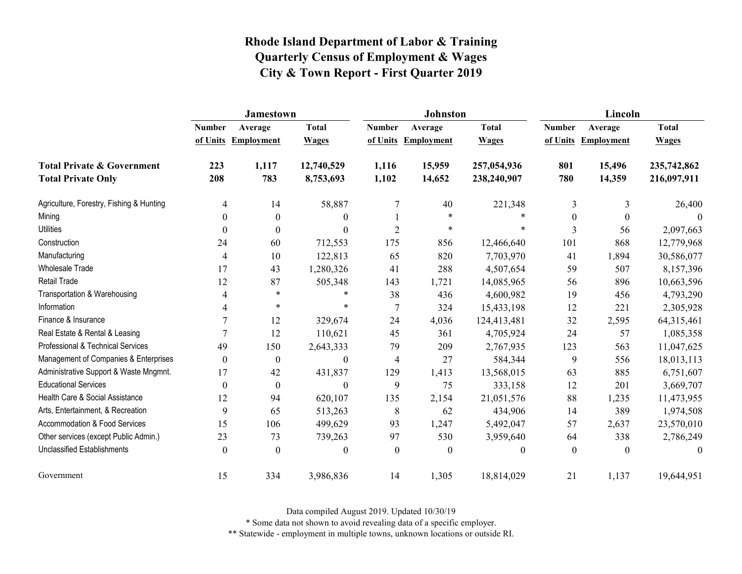|                                          | <b>Jamestown</b> |                     |                  |                  | <b>Johnston</b>  |                  | Lincoln          |                   |              |
|------------------------------------------|------------------|---------------------|------------------|------------------|------------------|------------------|------------------|-------------------|--------------|
|                                          | <b>Number</b>    | Average             | <b>Total</b>     | <b>Number</b>    | Average          | <b>Total</b>     | <b>Number</b>    | Average           | <b>Total</b> |
|                                          |                  | of Units Employment | <b>Wages</b>     | of Units         | Employment       | <b>Wages</b>     | of Units         | <b>Employment</b> | <b>Wages</b> |
| <b>Total Private &amp; Government</b>    | 223              | 1,117               | 12,740,529       | 1,116            | 15,959           | 257,054,936      | 801              | 15,496            | 235,742,862  |
| <b>Total Private Only</b>                | 208              | 783                 | 8,753,693        | 1,102            | 14,652           | 238,240,907      | 780              | 14,359            | 216,097,911  |
| Agriculture, Forestry, Fishing & Hunting | 4                | 14                  | 58,887           | 7                | 40               | 221,348          | 3                | 3                 | 26,400       |
| Mining                                   | 0                | $\boldsymbol{0}$    | $\theta$         |                  | $\ast$           | $\ast$           | $\boldsymbol{0}$ | $\boldsymbol{0}$  | $\theta$     |
| <b>Utilities</b>                         | 0                | $\theta$            | $\theta$         | $\overline{2}$   | $\ast$           | $\ast$           | 3                | 56                | 2,097,663    |
| Construction                             | 24               | 60                  | 712,553          | 175              | 856              | 12,466,640       | 101              | 868               | 12,779,968   |
| Manufacturing                            | 4                | 10                  | 122,813          | 65               | 820              | 7,703,970        | 41               | 1,894             | 30,586,077   |
| <b>Wholesale Trade</b>                   | 17               | 43                  | 1,280,326        | 41               | 288              | 4,507,654        | 59               | 507               | 8,157,396    |
| <b>Retail Trade</b>                      | 12               | 87                  | 505,348          | 143              | 1,721            | 14,085,965       | 56               | 896               | 10,663,596   |
| Transportation & Warehousing             | 4                | $\ast$              | *                | 38               | 436              | 4,600,982        | 19               | 456               | 4,793,290    |
| Information                              | 4                | $\ast$              | $\ast$           | $\overline{7}$   | 324              | 15,433,198       | 12               | 221               | 2,305,928    |
| Finance & Insurance                      | 7                | 12                  | 329,674          | 24               | 4,036            | 124,413,481      | 32               | 2,595             | 64,315,461   |
| Real Estate & Rental & Leasing           | $\overline{7}$   | 12                  | 110,621          | 45               | 361              | 4,705,924        | 24               | 57                | 1,085,358    |
| Professional & Technical Services        | 49               | 150                 | 2,643,333        | 79               | 209              | 2,767,935        | 123              | 563               | 11,047,625   |
| Management of Companies & Enterprises    | $\boldsymbol{0}$ | $\boldsymbol{0}$    | $\boldsymbol{0}$ | 4                | 27               | 584,344          | 9                | 556               | 18,013,113   |
| Administrative Support & Waste Mngmnt.   | 17               | 42                  | 431,837          | 129              | 1,413            | 13,568,015       | 63               | 885               | 6,751,607    |
| <b>Educational Services</b>              | $\theta$         | $\mathbf{0}$        | $\boldsymbol{0}$ | 9                | 75               | 333,158          | 12               | 201               | 3,669,707    |
| Health Care & Social Assistance          | 12               | 94                  | 620,107          | 135              | 2,154            | 21,051,576       | 88               | 1,235             | 11,473,955   |
| Arts, Entertainment, & Recreation        | 9                | 65                  | 513,263          | 8                | 62               | 434,906          | 14               | 389               | 1,974,508    |
| Accommodation & Food Services            | 15               | 106                 | 499,629          | 93               | 1,247            | 5,492,047        | 57               | 2,637             | 23,570,010   |
| Other services (except Public Admin.)    | 23               | 73                  | 739,263          | 97               | 530              | 3,959,640        | 64               | 338               | 2,786,249    |
| <b>Unclassified Establishments</b>       | $\boldsymbol{0}$ | $\boldsymbol{0}$    | $\boldsymbol{0}$ | $\boldsymbol{0}$ | $\boldsymbol{0}$ | $\boldsymbol{0}$ | $\boldsymbol{0}$ | $\boldsymbol{0}$  | $\theta$     |
| Government                               | 15               | 334                 | 3,986,836        | 14               | 1,305            | 18,814,029       | 21               | 1,137             | 19,644,951   |

Data compiled August 2019. Updated 10/30/19

\* Some data not shown to avoid revealing data of a specific employer.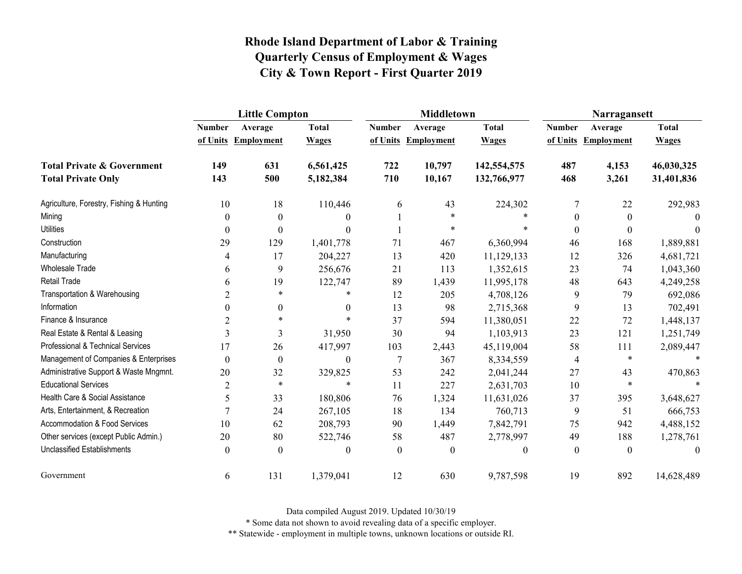|                                          | <b>Little Compton</b> |                   |                  |               | <b>Middletown</b>   |              | Narragansett     |                   |              |
|------------------------------------------|-----------------------|-------------------|------------------|---------------|---------------------|--------------|------------------|-------------------|--------------|
|                                          | <b>Number</b>         | Average           | <b>Total</b>     | <b>Number</b> | Average             | <b>Total</b> | <b>Number</b>    | Average           | <b>Total</b> |
|                                          | of Units              | <b>Employment</b> | <b>Wages</b>     |               | of Units Employment | <b>Wages</b> | of Units         | <b>Employment</b> | <b>Wages</b> |
| <b>Total Private &amp; Government</b>    | 149                   | 631               | 6,561,425        | 722           | 10,797              | 142,554,575  | 487              | 4,153             | 46,030,325   |
| <b>Total Private Only</b>                | 143                   | 500               | 5,182,384        | 710           | 10,167              | 132,766,977  | 468              | 3,261             | 31,401,836   |
| Agriculture, Forestry, Fishing & Hunting | 10                    | 18                | 110,446          | 6             | 43                  | 224,302      | 7                | 22                | 292,983      |
| Mining                                   | $\boldsymbol{0}$      | $\boldsymbol{0}$  | $\theta$         |               | $\ast$              |              | $\boldsymbol{0}$ | $\boldsymbol{0}$  | $\Omega$     |
| <b>Utilities</b>                         | $\theta$              | $\theta$          | $\Omega$         |               | $\ast$              | $\ast$       | $\theta$         | $\theta$          | $\Omega$     |
| Construction                             | 29                    | 129               | 1,401,778        | 71            | 467                 | 6,360,994    | 46               | 168               | 1,889,881    |
| Manufacturing                            | 4                     | 17                | 204,227          | 13            | 420                 | 11,129,133   | 12               | 326               | 4,681,721    |
| <b>Wholesale Trade</b>                   | 6                     | 9                 | 256,676          | 21            | 113                 | 1,352,615    | 23               | 74                | 1,043,360    |
| <b>Retail Trade</b>                      | 6                     | 19                | 122,747          | 89            | 1,439               | 11,995,178   | 48               | 643               | 4,249,258    |
| Transportation & Warehousing             | 2                     | $\ast$            | *                | 12            | 205                 | 4,708,126    | 9                | 79                | 692,086      |
| Information                              | $\theta$              | 0                 | $\theta$         | 13            | 98                  | 2,715,368    | 9                | 13                | 702,491      |
| Finance & Insurance                      | 2                     | $\ast$            | $\ast$           | 37            | 594                 | 11,380,051   | 22               | 72                | 1,448,137    |
| Real Estate & Rental & Leasing           | 3                     | 3                 | 31,950           | 30            | 94                  | 1,103,913    | 23               | 121               | 1,251,749    |
| Professional & Technical Services        | 17                    | 26                | 417,997          | 103           | 2,443               | 45,119,004   | 58               | 111               | 2,089,447    |
| Management of Companies & Enterprises    | $\boldsymbol{0}$      | $\boldsymbol{0}$  | $\boldsymbol{0}$ | $\tau$        | 367                 | 8,334,559    | 4                | $\ast$            |              |
| Administrative Support & Waste Mngmnt.   | 20                    | 32                | 329,825          | 53            | 242                 | 2,041,244    | 27               | 43                | 470,863      |
| <b>Educational Services</b>              | $\overline{2}$        | $\ast$            | $\ast$           | 11            | 227                 | 2,631,703    | 10               | $\ast$            |              |
| Health Care & Social Assistance          | 5                     | 33                | 180,806          | 76            | 1,324               | 11,631,026   | 37               | 395               | 3,648,627    |
| Arts, Entertainment, & Recreation        | $\overline{7}$        | 24                | 267,105          | 18            | 134                 | 760,713      | 9                | 51                | 666,753      |
| Accommodation & Food Services            | 10                    | 62                | 208,793          | 90            | 1,449               | 7,842,791    | 75               | 942               | 4,488,152    |
| Other services (except Public Admin.)    | 20                    | 80                | 522,746          | 58            | 487                 | 2,778,997    | 49               | 188               | 1,278,761    |
| <b>Unclassified Establishments</b>       | $\boldsymbol{0}$      | $\boldsymbol{0}$  | $\mathbf{0}$     | $\mathbf{0}$  | $\mathbf{0}$        | $\theta$     | $\mathbf{0}$     | $\boldsymbol{0}$  | $\theta$     |
| Government                               | 6                     | 131               | 1,379,041        | 12            | 630                 | 9,787,598    | 19               | 892               | 14,628,489   |

Data compiled August 2019. Updated 10/30/19

\* Some data not shown to avoid revealing data of a specific employer.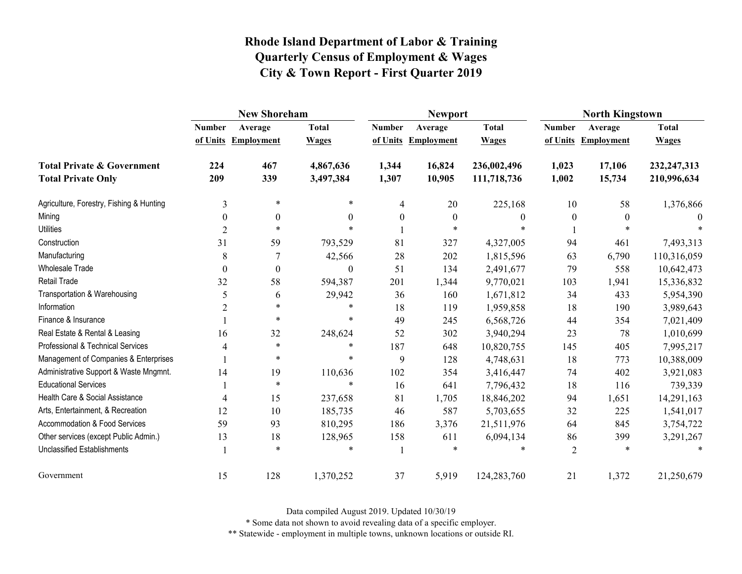|                                          | <b>New Shoreham</b> |                     |              |                  | <b>Newport</b>      |                  | <b>North Kingstown</b> |                     |               |
|------------------------------------------|---------------------|---------------------|--------------|------------------|---------------------|------------------|------------------------|---------------------|---------------|
|                                          | <b>Number</b>       | Average             | <b>Total</b> | <b>Number</b>    | Average             | <b>Total</b>     | <b>Number</b>          | Average             | <b>Total</b>  |
|                                          |                     | of Units Employment | <b>Wages</b> |                  | of Units Employment | <b>Wages</b>     |                        | of Units Employment | <b>Wages</b>  |
| <b>Total Private &amp; Government</b>    | 224                 | 467                 | 4,867,636    | 1,344            | 16,824              | 236,002,496      | 1,023                  | 17,106              | 232, 247, 313 |
| <b>Total Private Only</b>                | 209                 | 339                 | 3,497,384    | 1,307            | 10,905              | 111,718,736      | 1,002                  | 15,734              | 210,996,634   |
| Agriculture, Forestry, Fishing & Hunting | 3                   | $\ast$              | $\ast$       | 4                | 20                  | 225,168          | 10                     | 58                  | 1,376,866     |
| Mining                                   | $\mathbf{0}$        | $\boldsymbol{0}$    | 0            | $\boldsymbol{0}$ | $\boldsymbol{0}$    | $\boldsymbol{0}$ | $\boldsymbol{0}$       | 0                   | $\theta$      |
| <b>Utilities</b>                         | $\overline{2}$      | $\ast$              | $\ast$       |                  | $\ast$              | $\ast$           |                        | $\ast$              |               |
| Construction                             | 31                  | 59                  | 793,529      | 81               | 327                 | 4,327,005        | 94                     | 461                 | 7,493,313     |
| Manufacturing                            | 8                   |                     | 42,566       | 28               | 202                 | 1,815,596        | 63                     | 6,790               | 110,316,059   |
| Wholesale Trade                          | $\theta$            | $\boldsymbol{0}$    | 0            | 51               | 134                 | 2,491,677        | 79                     | 558                 | 10,642,473    |
| <b>Retail Trade</b>                      | 32                  | 58                  | 594,387      | 201              | 1,344               | 9,770,021        | 103                    | 1,941               | 15,336,832    |
| Transportation & Warehousing             | 5                   | 6                   | 29,942       | 36               | 160                 | 1,671,812        | 34                     | 433                 | 5,954,390     |
| Information                              | $\overline{2}$      | $\ast$              | *            | 18               | 119                 | 1,959,858        | 18                     | 190                 | 3,989,643     |
| Finance & Insurance                      |                     | $\ast$              | $\ast$       | 49               | 245                 | 6,568,726        | 44                     | 354                 | 7,021,409     |
| Real Estate & Rental & Leasing           | 16                  | 32                  | 248,624      | 52               | 302                 | 3,940,294        | 23                     | 78                  | 1,010,699     |
| Professional & Technical Services        | 4                   | $\ast$              | *            | 187              | 648                 | 10,820,755       | 145                    | 405                 | 7,995,217     |
| Management of Companies & Enterprises    |                     | $\ast$              | $\ast$       | 9                | 128                 | 4,748,631        | 18                     | 773                 | 10,388,009    |
| Administrative Support & Waste Mngmnt.   | 14                  | 19                  | 110,636      | 102              | 354                 | 3,416,447        | 74                     | 402                 | 3,921,083     |
| <b>Educational Services</b>              |                     | $\ast$              | $\ast$       | 16               | 641                 | 7,796,432        | 18                     | 116                 | 739,339       |
| Health Care & Social Assistance          | 4                   | 15                  | 237,658      | 81               | 1,705               | 18,846,202       | 94                     | 1,651               | 14,291,163    |
| Arts, Entertainment, & Recreation        | 12                  | 10                  | 185,735      | 46               | 587                 | 5,703,655        | 32                     | 225                 | 1,541,017     |
| Accommodation & Food Services            | 59                  | 93                  | 810,295      | 186              | 3,376               | 21,511,976       | 64                     | 845                 | 3,754,722     |
| Other services (except Public Admin.)    | 13                  | 18                  | 128,965      | 158              | 611                 | 6,094,134        | 86                     | 399                 | 3,291,267     |
| <b>Unclassified Establishments</b>       |                     | $\ast$              | *            |                  | $\ast$              | *                | $\overline{2}$         | $\ast$              |               |
| Government                               | 15                  | 128                 | 1,370,252    | 37               | 5,919               | 124,283,760      | 21                     | 1,372               | 21,250,679    |

Data compiled August 2019. Updated 10/30/19

\* Some data not shown to avoid revealing data of a specific employer.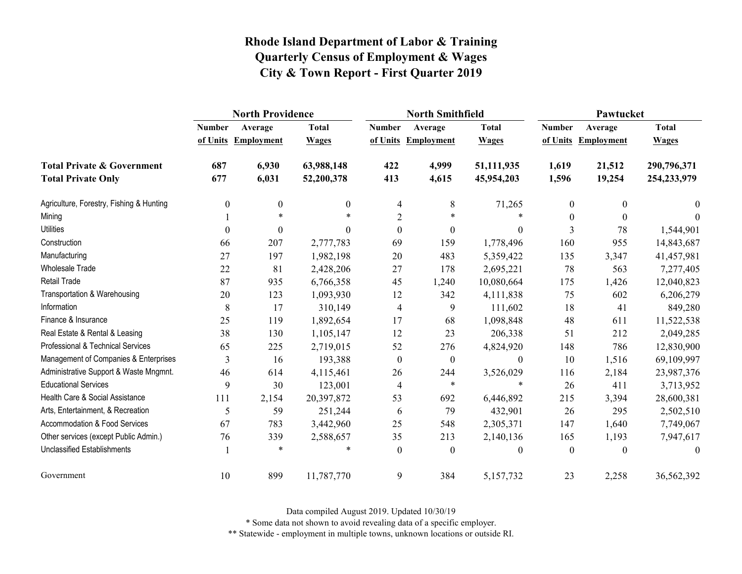|                                          | <b>North Providence</b> |                     |                  |                  | <b>North Smithfield</b> |                  | Pawtucket     |                   |               |  |
|------------------------------------------|-------------------------|---------------------|------------------|------------------|-------------------------|------------------|---------------|-------------------|---------------|--|
|                                          | <b>Number</b>           | Average             | <b>Total</b>     | <b>Number</b>    | Average                 | <b>Total</b>     | <b>Number</b> | Average           | <b>Total</b>  |  |
|                                          |                         | of Units Employment | <b>Wages</b>     |                  | of Units Employment     | <b>Wages</b>     | of Units      | <b>Employment</b> | <b>Wages</b>  |  |
| <b>Total Private &amp; Government</b>    | 687                     | 6,930               | 63,988,148       | 422              | 4,999                   | 51,111,935       | 1,619         | 21,512            | 290,796,371   |  |
| <b>Total Private Only</b>                | 677                     | 6,031               | 52,200,378       | 413              | 4,615                   | 45,954,203       | 1,596         | 19,254            | 254, 233, 979 |  |
| Agriculture, Forestry, Fishing & Hunting | 0                       | $\boldsymbol{0}$    | $\boldsymbol{0}$ | 4                | 8                       | 71,265           | $\mathbf{0}$  | $\theta$          | $\Omega$      |  |
| Mining                                   |                         | $\ast$              | $\ast$           | $\overline{2}$   | $\ast$                  | $\ast$           | $\mathbf{0}$  | $\boldsymbol{0}$  | $\theta$      |  |
| <b>Utilities</b>                         | $\Omega$                | $\mathbf{0}$        | $\theta$         | $\theta$         | $\boldsymbol{0}$        | $\boldsymbol{0}$ | 3             | 78                | 1,544,901     |  |
| Construction                             | 66                      | 207                 | 2,777,783        | 69               | 159                     | 1,778,496        | 160           | 955               | 14,843,687    |  |
| Manufacturing                            | 27                      | 197                 | 1,982,198        | 20               | 483                     | 5,359,422        | 135           | 3,347             | 41,457,981    |  |
| <b>Wholesale Trade</b>                   | 22                      | 81                  | 2,428,206        | 27               | 178                     | 2,695,221        | 78            | 563               | 7,277,405     |  |
| <b>Retail Trade</b>                      | 87                      | 935                 | 6,766,358        | 45               | 1,240                   | 10,080,664       | 175           | 1,426             | 12,040,823    |  |
| Transportation & Warehousing             | 20                      | 123                 | 1,093,930        | 12               | 342                     | 4,111,838        | 75            | 602               | 6,206,279     |  |
| Information                              | 8                       | 17                  | 310,149          | 4                | 9                       | 111,602          | 18            | 41                | 849,280       |  |
| Finance & Insurance                      | 25                      | 119                 | 1,892,654        | 17               | 68                      | 1,098,848        | 48            | 611               | 11,522,538    |  |
| Real Estate & Rental & Leasing           | 38                      | 130                 | 1,105,147        | 12               | 23                      | 206,338          | 51            | 212               | 2,049,285     |  |
| Professional & Technical Services        | 65                      | 225                 | 2,719,015        | 52               | 276                     | 4,824,920        | 148           | 786               | 12,830,900    |  |
| Management of Companies & Enterprises    | 3                       | 16                  | 193,388          | $\boldsymbol{0}$ | $\boldsymbol{0}$        | $\boldsymbol{0}$ | 10            | 1,516             | 69,109,997    |  |
| Administrative Support & Waste Mngmnt.   | 46                      | 614                 | 4,115,461        | 26               | 244                     | 3,526,029        | 116           | 2,184             | 23,987,376    |  |
| <b>Educational Services</b>              | 9                       | 30                  | 123,001          | $\overline{4}$   | $\ast$                  | $\ast$           | 26            | 411               | 3,713,952     |  |
| Health Care & Social Assistance          | 111                     | 2,154               | 20,397,872       | 53               | 692                     | 6,446,892        | 215           | 3,394             | 28,600,381    |  |
| Arts, Entertainment, & Recreation        | 5                       | 59                  | 251,244          | 6                | 79                      | 432,901          | 26            | 295               | 2,502,510     |  |
| Accommodation & Food Services            | 67                      | 783                 | 3,442,960        | 25               | 548                     | 2,305,371        | 147           | 1,640             | 7,749,067     |  |
| Other services (except Public Admin.)    | 76                      | 339                 | 2,588,657        | 35               | 213                     | 2,140,136        | 165           | 1,193             | 7,947,617     |  |
| <b>Unclassified Establishments</b>       |                         | $\ast$              | *                | $\theta$         | $\boldsymbol{0}$        | 0                | $\mathbf{0}$  | $\theta$          | $\theta$      |  |
| Government                               | 10                      | 899                 | 11,787,770       | 9                | 384                     | 5,157,732        | 23            | 2,258             | 36,562,392    |  |

Data compiled August 2019. Updated 10/30/19

\* Some data not shown to avoid revealing data of a specific employer.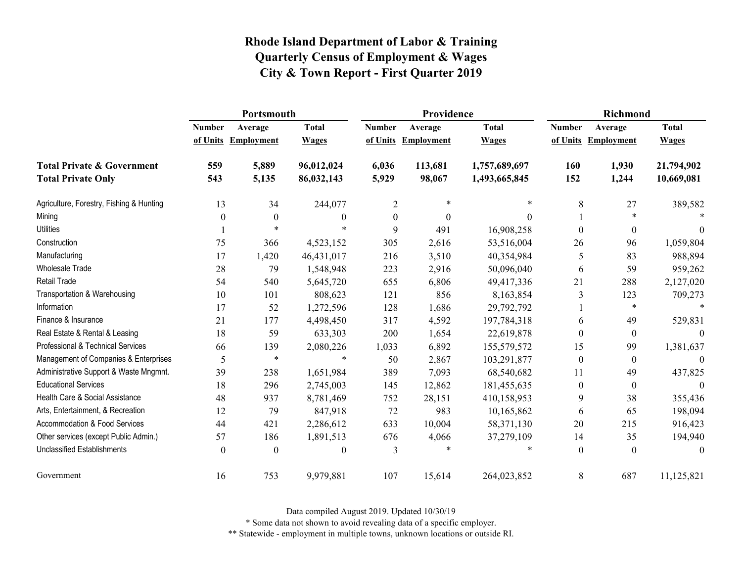|                                          | Portsmouth    |                     |                  |                  | Providence        |               | <b>Richmond</b>  |                     |                  |
|------------------------------------------|---------------|---------------------|------------------|------------------|-------------------|---------------|------------------|---------------------|------------------|
|                                          | <b>Number</b> | Average             | <b>Total</b>     | <b>Number</b>    | Average           | <b>Total</b>  | <b>Number</b>    | Average             | <b>Total</b>     |
|                                          |               | of Units Employment | <b>Wages</b>     | of Units         | <b>Employment</b> | <b>Wages</b>  |                  | of Units Employment | <b>Wages</b>     |
| <b>Total Private &amp; Government</b>    | 559           | 5,889               | 96,012,024       | 6,036            | 113,681           | 1,757,689,697 | 160              | 1,930               | 21,794,902       |
| <b>Total Private Only</b>                | 543           | 5,135               | 86,032,143       | 5,929            | 98,067            | 1,493,665,845 | 152              | 1,244               | 10,669,081       |
| Agriculture, Forestry, Fishing & Hunting | 13            | 34                  | 244,077          | $\overline{2}$   | $\ast$            | $\ast$        | 8                | 27                  | 389,582          |
| Mining                                   | $\theta$      | $\boldsymbol{0}$    | $\boldsymbol{0}$ | $\boldsymbol{0}$ | $\theta$          | $\Omega$      |                  | *                   |                  |
| <b>Utilities</b>                         |               | $\ast$              |                  | 9                | 491               | 16,908,258    | $\theta$         | $\boldsymbol{0}$    | $\theta$         |
| Construction                             | 75            | 366                 | 4,523,152        | 305              | 2,616             | 53,516,004    | 26               | 96                  | 1,059,804        |
| Manufacturing                            | 17            | 1,420               | 46,431,017       | 216              | 3,510             | 40,354,984    | 5                | 83                  | 988,894          |
| Wholesale Trade                          | 28            | 79                  | 1,548,948        | 223              | 2,916             | 50,096,040    | 6                | 59                  | 959,262          |
| Retail Trade                             | 54            | 540                 | 5,645,720        | 655              | 6,806             | 49,417,336    | 21               | 288                 | 2,127,020        |
| Transportation & Warehousing             | 10            | 101                 | 808,623          | 121              | 856               | 8,163,854     | 3                | 123                 | 709,273          |
| Information                              | 17            | 52                  | 1,272,596        | 128              | 1,686             | 29,792,792    |                  | $\ast$              | $\ast$           |
| Finance & Insurance                      | 21            | 177                 | 4,498,450        | 317              | 4,592             | 197,784,318   | 6                | 49                  | 529,831          |
| Real Estate & Rental & Leasing           | 18            | 59                  | 633,303          | 200              | 1,654             | 22,619,878    | $\theta$         | $\mathbf{0}$        | $\Omega$         |
| Professional & Technical Services        | 66            | 139                 | 2,080,226        | 1,033            | 6,892             | 155,579,572   | 15               | 99                  | 1,381,637        |
| Management of Companies & Enterprises    | 5             | $\ast$              | $\ast$           | 50               | 2,867             | 103,291,877   | $\boldsymbol{0}$ | $\boldsymbol{0}$    | $\boldsymbol{0}$ |
| Administrative Support & Waste Mngmnt.   | 39            | 238                 | 1,651,984        | 389              | 7,093             | 68,540,682    | 11               | 49                  | 437,825          |
| <b>Educational Services</b>              | 18            | 296                 | 2,745,003        | 145              | 12,862            | 181,455,635   | $\mathbf{0}$     | $\boldsymbol{0}$    | $\Omega$         |
| Health Care & Social Assistance          | 48            | 937                 | 8,781,469        | 752              | 28,151            | 410,158,953   | 9                | 38                  | 355,436          |
| Arts, Entertainment, & Recreation        | 12            | 79                  | 847,918          | 72               | 983               | 10,165,862    | 6                | 65                  | 198,094          |
| Accommodation & Food Services            | 44            | 421                 | 2,286,612        | 633              | 10,004            | 58,371,130    | 20               | 215                 | 916,423          |
| Other services (except Public Admin.)    | 57            | 186                 | 1,891,513        | 676              | 4,066             | 37,279,109    | 14               | 35                  | 194,940          |
| <b>Unclassified Establishments</b>       | $\theta$      | $\boldsymbol{0}$    | $\boldsymbol{0}$ | 3                | *                 | *             | $\boldsymbol{0}$ | $\boldsymbol{0}$    | $\boldsymbol{0}$ |
| Government                               | 16            | 753                 | 9,979,881        | 107              | 15,614            | 264,023,852   | 8                | 687                 | 11,125,821       |

Data compiled August 2019. Updated 10/30/19

\* Some data not shown to avoid revealing data of a specific employer.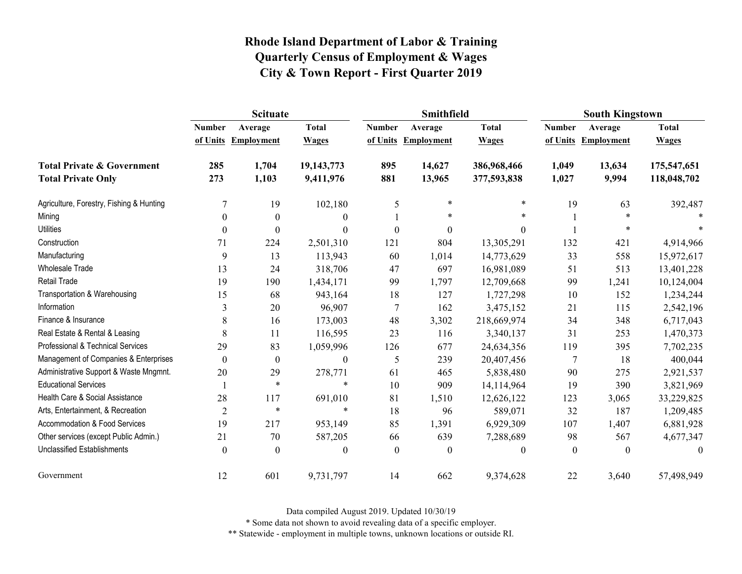|                                          | <b>Scituate</b>  |                     |                  |                  | Smithfield          |                  | <b>South Kingstown</b> |                   |                  |
|------------------------------------------|------------------|---------------------|------------------|------------------|---------------------|------------------|------------------------|-------------------|------------------|
|                                          | <b>Number</b>    | Average             | <b>Total</b>     | <b>Number</b>    | Average             | <b>Total</b>     | <b>Number</b>          | Average           | <b>Total</b>     |
|                                          |                  | of Units Employment | <b>Wages</b>     |                  | of Units Employment | <b>Wages</b>     | of Units               | <b>Employment</b> | <b>Wages</b>     |
| <b>Total Private &amp; Government</b>    | 285              | 1,704               | 19,143,773       | 895              | 14,627              | 386,968,466      | 1,049                  | 13,634            | 175,547,651      |
| <b>Total Private Only</b>                | 273              | 1,103               | 9,411,976        | 881              | 13,965              | 377,593,838      | 1,027                  | 9,994             | 118,048,702      |
| Agriculture, Forestry, Fishing & Hunting |                  | 19                  | 102,180          | 5                | $\ast$              | $\ast$           | 19                     | 63                | 392,487          |
| Mining                                   | $\mathbf{0}$     | $\boldsymbol{0}$    | $\theta$         |                  | *                   | *                |                        | $\ast$            |                  |
| <b>Utilities</b>                         | $\theta$         | $\Omega$            | $\theta$         | $\theta$         | $\boldsymbol{0}$    | $\boldsymbol{0}$ |                        | $\ast$            | $\ast$           |
| Construction                             | 71               | 224                 | 2,501,310        | 121              | 804                 | 13,305,291       | 132                    | 421               | 4,914,966        |
| Manufacturing                            | 9                | 13                  | 113,943          | 60               | 1,014               | 14,773,629       | 33                     | 558               | 15,972,617       |
| Wholesale Trade                          | 13               | 24                  | 318,706          | 47               | 697                 | 16,981,089       | 51                     | 513               | 13,401,228       |
| <b>Retail Trade</b>                      | 19               | 190                 | 1,434,171        | 99               | 1,797               | 12,709,668       | 99                     | 1,241             | 10,124,004       |
| Transportation & Warehousing             | 15               | 68                  | 943,164          | 18               | 127                 | 1,727,298        | 10                     | 152               | 1,234,244        |
| Information                              | 3                | 20                  | 96,907           | $\boldsymbol{7}$ | 162                 | 3,475,152        | 21                     | 115               | 2,542,196        |
| Finance & Insurance                      | 8                | 16                  | 173,003          | 48               | 3,302               | 218,669,974      | 34                     | 348               | 6,717,043        |
| Real Estate & Rental & Leasing           | 8                | 11                  | 116,595          | 23               | 116                 | 3,340,137        | 31                     | 253               | 1,470,373        |
| Professional & Technical Services        | 29               | 83                  | 1,059,996        | 126              | 677                 | 24,634,356       | 119                    | 395               | 7,702,235        |
| Management of Companies & Enterprises    | $\boldsymbol{0}$ | $\boldsymbol{0}$    | $\boldsymbol{0}$ | 5                | 239                 | 20,407,456       | $\overline{7}$         | 18                | 400,044          |
| Administrative Support & Waste Mngmnt.   | 20               | 29                  | 278,771          | 61               | 465                 | 5,838,480        | 90                     | 275               | 2,921,537        |
| <b>Educational Services</b>              |                  | $\ast$              | $\ast$           | 10               | 909                 | 14,114,964       | 19                     | 390               | 3,821,969        |
| Health Care & Social Assistance          | 28               | 117                 | 691,010          | 81               | 1,510               | 12,626,122       | 123                    | 3,065             | 33,229,825       |
| Arts, Entertainment, & Recreation        | $\overline{2}$   | $\ast$              | $\ast$           | 18               | 96                  | 589,071          | 32                     | 187               | 1,209,485        |
| Accommodation & Food Services            | 19               | 217                 | 953,149          | 85               | 1,391               | 6,929,309        | 107                    | 1,407             | 6,881,928        |
| Other services (except Public Admin.)    | 21               | 70                  | 587,205          | 66               | 639                 | 7,288,689        | 98                     | 567               | 4,677,347        |
| <b>Unclassified Establishments</b>       | $\boldsymbol{0}$ | $\theta$            | $\boldsymbol{0}$ | $\boldsymbol{0}$ | $\boldsymbol{0}$    | $\boldsymbol{0}$ | $\boldsymbol{0}$       | $\boldsymbol{0}$  | $\boldsymbol{0}$ |
| Government                               | 12               | 601                 | 9,731,797        | 14               | 662                 | 9,374,628        | 22                     | 3,640             | 57,498,949       |

Data compiled August 2019. Updated 10/30/19

\* Some data not shown to avoid revealing data of a specific employer.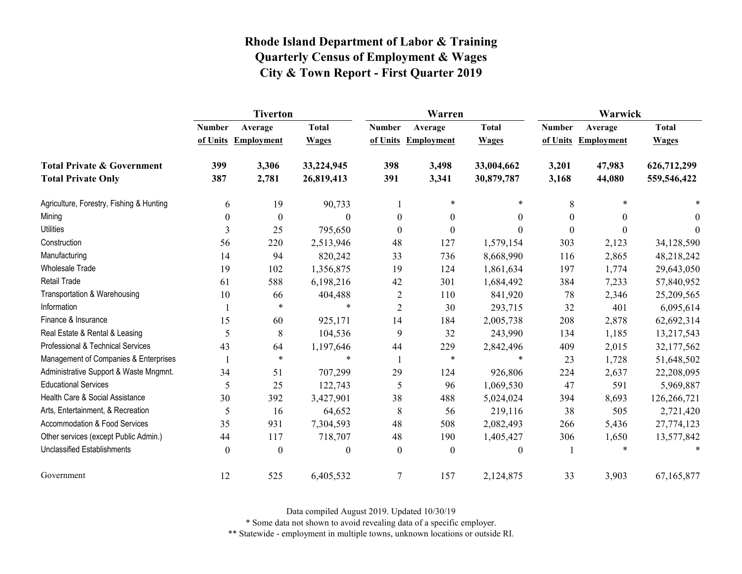|                                          | <b>Tiverton</b>  |                   |              |                  | Warren              |                  | Warwick       |                     |              |  |
|------------------------------------------|------------------|-------------------|--------------|------------------|---------------------|------------------|---------------|---------------------|--------------|--|
|                                          | <b>Number</b>    | Average           | <b>Total</b> | <b>Number</b>    | Average             | <b>Total</b>     | <b>Number</b> | Average             | <b>Total</b> |  |
|                                          | of Units         | <b>Employment</b> | <b>Wages</b> |                  | of Units Employment | <b>Wages</b>     |               | of Units Employment | <b>Wages</b> |  |
| <b>Total Private &amp; Government</b>    | 399              | 3,306             | 33,224,945   | 398              | 3,498               | 33,004,662       | 3,201         | 47,983              | 626,712,299  |  |
| <b>Total Private Only</b>                | 387              | 2,781             | 26,819,413   | 391              | 3,341               | 30,879,787       | 3,168         | 44,080              | 559,546,422  |  |
| Agriculture, Forestry, Fishing & Hunting | 6                | 19                | 90,733       |                  | $\ast$              | $\ast$           | 8             |                     | $\ast$       |  |
| Mining                                   | $\boldsymbol{0}$ | $\boldsymbol{0}$  | $\mathbf{0}$ | $\boldsymbol{0}$ | $\boldsymbol{0}$    | $\boldsymbol{0}$ | $\mathbf{0}$  | $\theta$            | 0            |  |
| <b>Utilities</b>                         | 3                | 25                | 795,650      | $\theta$         | $\boldsymbol{0}$    | $\Omega$         | $\Omega$      | $\Omega$            | $\Omega$     |  |
| Construction                             | 56               | 220               | 2,513,946    | 48               | 127                 | 1,579,154        | 303           | 2,123               | 34,128,590   |  |
| Manufacturing                            | 14               | 94                | 820,242      | 33               | 736                 | 8,668,990        | 116           | 2,865               | 48,218,242   |  |
| <b>Wholesale Trade</b>                   | 19               | 102               | 1,356,875    | 19               | 124                 | 1,861,634        | 197           | 1,774               | 29,643,050   |  |
| <b>Retail Trade</b>                      | 61               | 588               | 6,198,216    | 42               | 301                 | 1,684,492        | 384           | 7,233               | 57,840,952   |  |
| Transportation & Warehousing             | 10               | 66                | 404,488      | $\overline{2}$   | 110                 | 841,920          | 78            | 2,346               | 25,209,565   |  |
| Information                              |                  | $\ast$            | $\ast$       | $\overline{2}$   | 30                  | 293,715          | 32            | 401                 | 6,095,614    |  |
| Finance & Insurance                      | 15               | 60                | 925,171      | 14               | 184                 | 2,005,738        | 208           | 2,878               | 62,692,314   |  |
| Real Estate & Rental & Leasing           | 5                | 8                 | 104,536      | 9                | 32                  | 243,990          | 134           | 1,185               | 13,217,543   |  |
| Professional & Technical Services        | 43               | 64                | 1,197,646    | 44               | 229                 | 2,842,496        | 409           | 2,015               | 32,177,562   |  |
| Management of Companies & Enterprises    |                  | $\ast$            | $\ast$       | -1               | $\ast$              | $\ast$           | 23            | 1,728               | 51,648,502   |  |
| Administrative Support & Waste Mngmnt.   | 34               | 51                | 707,299      | 29               | 124                 | 926,806          | 224           | 2,637               | 22,208,095   |  |
| <b>Educational Services</b>              | 5                | 25                | 122,743      | 5                | 96                  | 1,069,530        | 47            | 591                 | 5,969,887    |  |
| Health Care & Social Assistance          | 30               | 392               | 3,427,901    | 38               | 488                 | 5,024,024        | 394           | 8,693               | 126,266,721  |  |
| Arts, Entertainment, & Recreation        | 5                | 16                | 64,652       | 8                | 56                  | 219,116          | 38            | 505                 | 2,721,420    |  |
| Accommodation & Food Services            | 35               | 931               | 7,304,593    | 48               | 508                 | 2,082,493        | 266           | 5,436               | 27,774,123   |  |
| Other services (except Public Admin.)    | 44               | 117               | 718,707      | 48               | 190                 | 1,405,427        | 306           | 1,650               | 13,577,842   |  |
| <b>Unclassified Establishments</b>       | $\boldsymbol{0}$ | $\boldsymbol{0}$  | $\mathbf{0}$ | $\mathbf{0}$     | $\boldsymbol{0}$    | $\theta$         |               |                     |              |  |
| Government                               | 12               | 525               | 6,405,532    | $\tau$           | 157                 | 2,124,875        | 33            | 3,903               | 67,165,877   |  |

Data compiled August 2019. Updated 10/30/19

\* Some data not shown to avoid revealing data of a specific employer.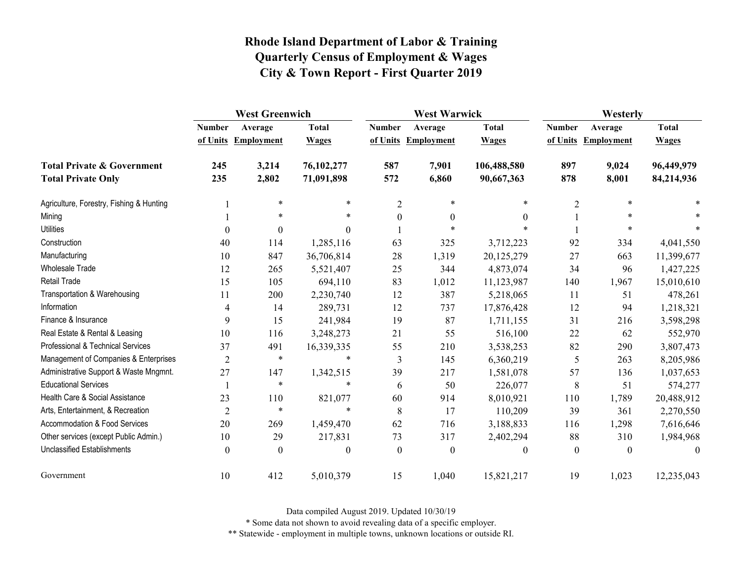|                                          | <b>West Greenwich</b> |                     |                  | <b>West Warwick</b> |                     |                  | Westerly       |                     |              |
|------------------------------------------|-----------------------|---------------------|------------------|---------------------|---------------------|------------------|----------------|---------------------|--------------|
|                                          | <b>Number</b>         | Average             | <b>Total</b>     | <b>Number</b>       | Average             | <b>Total</b>     | <b>Number</b>  | Average             | <b>Total</b> |
|                                          |                       | of Units Employment | <b>Wages</b>     |                     | of Units Employment | <b>Wages</b>     |                | of Units Employment | <b>Wages</b> |
| <b>Total Private &amp; Government</b>    | 245                   | 3,214               | 76,102,277       | 587                 | 7,901               | 106,488,580      | 897            | 9,024               | 96,449,979   |
| <b>Total Private Only</b>                | 235                   | 2,802               | 71,091,898       | 572                 | 6,860               | 90,667,363       | 878            | 8,001               | 84,214,936   |
| Agriculture, Forestry, Fishing & Hunting |                       | $\ast$              | $\ast$           | $\overline{2}$      | $\ast$              | $\ast$           | $\overline{2}$ | $\ast$              |              |
| Mining                                   |                       | $\ast$              | $\ast$           | $\boldsymbol{0}$    | $\boldsymbol{0}$    | $\theta$         |                | *                   |              |
| <b>Utilities</b>                         | $\Omega$              | $\theta$            | $\Omega$         |                     | $\ast$              |                  |                |                     |              |
| Construction                             | 40                    | 114                 | 1,285,116        | 63                  | 325                 | 3,712,223        | 92             | 334                 | 4,041,550    |
| Manufacturing                            | 10                    | 847                 | 36,706,814       | 28                  | 1,319               | 20,125,279       | 27             | 663                 | 11,399,677   |
| Wholesale Trade                          | 12                    | 265                 | 5,521,407        | 25                  | 344                 | 4,873,074        | 34             | 96                  | 1,427,225    |
| <b>Retail Trade</b>                      | 15                    | 105                 | 694,110          | 83                  | 1,012               | 11,123,987       | 140            | 1,967               | 15,010,610   |
| Transportation & Warehousing             | 11                    | 200                 | 2,230,740        | 12                  | 387                 | 5,218,065        | 11             | 51                  | 478,261      |
| Information                              | 4                     | 14                  | 289,731          | 12                  | 737                 | 17,876,428       | 12             | 94                  | 1,218,321    |
| Finance & Insurance                      | 9                     | 15                  | 241,984          | 19                  | 87                  | 1,711,155        | 31             | 216                 | 3,598,298    |
| Real Estate & Rental & Leasing           | 10                    | 116                 | 3,248,273        | 21                  | 55                  | 516,100          | 22             | 62                  | 552,970      |
| Professional & Technical Services        | 37                    | 491                 | 16,339,335       | 55                  | 210                 | 3,538,253        | 82             | 290                 | 3,807,473    |
| Management of Companies & Enterprises    | $\overline{2}$        | $\ast$              | $\ast$           | $\mathfrak{Z}$      | 145                 | 6,360,219        | 5              | 263                 | 8,205,986    |
| Administrative Support & Waste Mngmnt.   | 27                    | 147                 | 1,342,515        | 39                  | 217                 | 1,581,078        | 57             | 136                 | 1,037,653    |
| <b>Educational Services</b>              |                       | $\ast$              | $\ast$           | 6                   | 50                  | 226,077          | 8              | 51                  | 574,277      |
| Health Care & Social Assistance          | 23                    | 110                 | 821,077          | 60                  | 914                 | 8,010,921        | 110            | 1,789               | 20,488,912   |
| Arts, Entertainment, & Recreation        | $\overline{2}$        | $\ast$              | $\ast$           | 8                   | 17                  | 110,209          | 39             | 361                 | 2,270,550    |
| Accommodation & Food Services            | 20                    | 269                 | 1,459,470        | 62                  | 716                 | 3,188,833        | 116            | 1,298               | 7,616,646    |
| Other services (except Public Admin.)    | 10                    | 29                  | 217,831          | 73                  | 317                 | 2,402,294        | 88             | 310                 | 1,984,968    |
| <b>Unclassified Establishments</b>       | $\boldsymbol{0}$      | $\theta$            | $\boldsymbol{0}$ | $\mathbf{0}$        | $\boldsymbol{0}$    | $\boldsymbol{0}$ | $\mathbf{0}$   | $\theta$            | $\theta$     |
| Government                               | 10                    | 412                 | 5,010,379        | 15                  | 1,040               | 15,821,217       | 19             | 1,023               | 12,235,043   |

Data compiled August 2019. Updated 10/30/19

\* Some data not shown to avoid revealing data of a specific employer.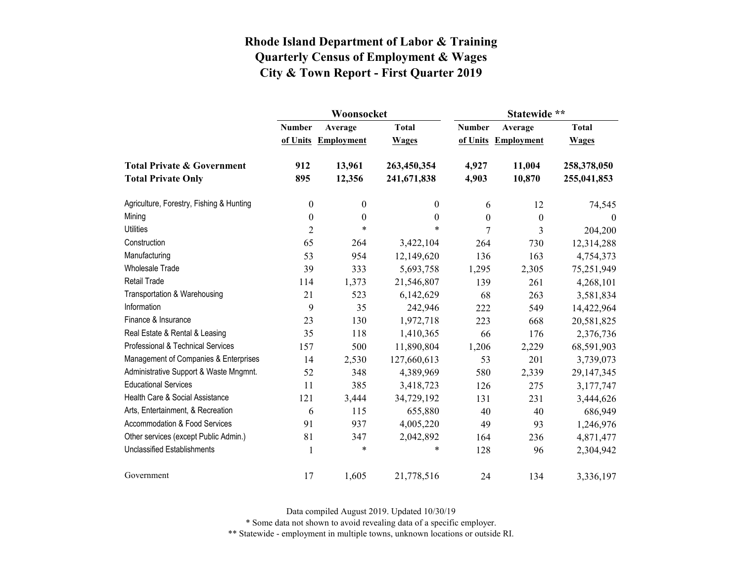|                                          |                  | Woonsocket        |                  | Statewide **   |                     |                  |  |
|------------------------------------------|------------------|-------------------|------------------|----------------|---------------------|------------------|--|
|                                          | <b>Number</b>    | Average           | <b>Total</b>     | <b>Number</b>  | Average             | <b>Total</b>     |  |
|                                          | of Units         | <b>Employment</b> | <b>Wages</b>     |                | of Units Employment | <b>Wages</b>     |  |
| <b>Total Private &amp; Government</b>    | 912              | 13,961            | 263,450,354      | 4,927          | 11,004              | 258,378,050      |  |
| <b>Total Private Only</b>                | 895              | 12,356            | 241,671,838      | 4,903          | 10,870              | 255,041,853      |  |
| Agriculture, Forestry, Fishing & Hunting | $\boldsymbol{0}$ | $\boldsymbol{0}$  | $\boldsymbol{0}$ | 6              | 12                  | 74,545           |  |
| Mining                                   | $\boldsymbol{0}$ | $\boldsymbol{0}$  | $\theta$         | $\overline{0}$ | $\boldsymbol{0}$    | $\boldsymbol{0}$ |  |
| <b>Utilities</b>                         | $\overline{2}$   | $\ast$            | $\ast$           | 7              | 3                   | 204,200          |  |
| Construction                             | 65               | 264               | 3,422,104        | 264            | 730                 | 12,314,288       |  |
| Manufacturing                            | 53               | 954               | 12,149,620       | 136            | 163                 | 4,754,373        |  |
| <b>Wholesale Trade</b>                   | 39               | 333               | 5,693,758        | 1,295          | 2,305               | 75,251,949       |  |
| <b>Retail Trade</b>                      | 114              | 1,373             | 21,546,807       | 139            | 261                 | 4,268,101        |  |
| Transportation & Warehousing             | 21               | 523               | 6,142,629        | 68             | 263                 | 3,581,834        |  |
| Information                              | 9                | 35                | 242,946          | 222            | 549                 | 14,422,964       |  |
| Finance & Insurance                      | 23               | 130               | 1,972,718        | 223            | 668                 | 20,581,825       |  |
| Real Estate & Rental & Leasing           | 35               | 118               | 1,410,365        | 66             | 176                 | 2,376,736        |  |
| Professional & Technical Services        | 157              | 500               | 11,890,804       | 1,206          | 2,229               | 68,591,903       |  |
| Management of Companies & Enterprises    | 14               | 2,530             | 127,660,613      | 53             | 201                 | 3,739,073        |  |
| Administrative Support & Waste Mngmnt.   | 52               | 348               | 4,389,969        | 580            | 2,339               | 29,147,345       |  |
| <b>Educational Services</b>              | 11               | 385               | 3,418,723        | 126            | 275                 | 3,177,747        |  |
| Health Care & Social Assistance          | 121              | 3,444             | 34,729,192       | 131            | 231                 | 3,444,626        |  |
| Arts, Entertainment, & Recreation        | 6                | 115               | 655,880          | 40             | 40                  | 686,949          |  |
| Accommodation & Food Services            | 91               | 937               | 4,005,220        | 49             | 93                  | 1,246,976        |  |
| Other services (except Public Admin.)    | 81               | 347               | 2,042,892        | 164            | 236                 | 4,871,477        |  |
| <b>Unclassified Establishments</b>       | $\mathbf{1}$     | $\ast$            | $\ast$           | 128            | 96                  | 2,304,942        |  |
| Government                               | 17               | 1,605             | 21,778,516       | 24             | 134                 | 3,336,197        |  |

Data compiled August 2019. Updated 10/30/19

\* Some data not shown to avoid revealing data of a specific employer.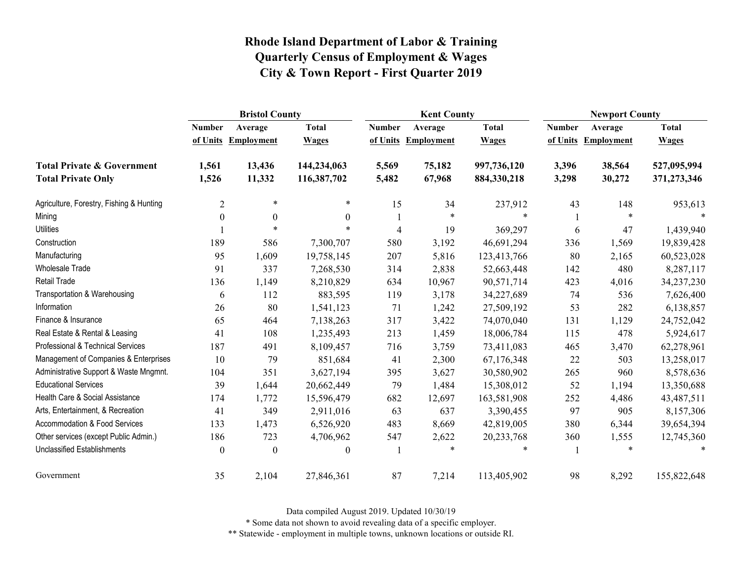|                                          | <b>Bristol County</b> |                   |                  |                | <b>Kent County</b>  |              |               | <b>Newport County</b> |              |  |
|------------------------------------------|-----------------------|-------------------|------------------|----------------|---------------------|--------------|---------------|-----------------------|--------------|--|
|                                          | <b>Number</b>         | Average           | <b>Total</b>     | <b>Number</b>  | Average             | <b>Total</b> | <b>Number</b> | Average               | <b>Total</b> |  |
|                                          | of Units              | <b>Employment</b> | <b>Wages</b>     |                | of Units Employment | <b>Wages</b> | of Units      | <b>Employment</b>     | <b>Wages</b> |  |
| <b>Total Private &amp; Government</b>    | 1,561                 | 13,436            | 144,234,063      | 5,569          | 75,182              | 997,736,120  | 3,396         | 38,564                | 527,095,994  |  |
| <b>Total Private Only</b>                | 1,526                 | 11,332            | 116,387,702      | 5,482          | 67,968              | 884,330,218  | 3,298         | 30,272                | 371,273,346  |  |
| Agriculture, Forestry, Fishing & Hunting | $\overline{2}$        | $\ast$            | $\ast$           | 15             | 34                  | 237,912      | 43            | 148                   | 953,613      |  |
| Mining                                   | $\boldsymbol{0}$      | $\boldsymbol{0}$  | $\theta$         |                | $\ast$              | $\ast$       |               | $\ast$                |              |  |
| <b>Utilities</b>                         |                       | $\ast$            |                  | $\overline{4}$ | 19                  | 369,297      | 6             | 47                    | 1,439,940    |  |
| Construction                             | 189                   | 586               | 7,300,707        | 580            | 3,192               | 46,691,294   | 336           | 1,569                 | 19,839,428   |  |
| Manufacturing                            | 95                    | 1,609             | 19,758,145       | 207            | 5,816               | 123,413,766  | 80            | 2,165                 | 60,523,028   |  |
| Wholesale Trade                          | 91                    | 337               | 7,268,530        | 314            | 2,838               | 52,663,448   | 142           | 480                   | 8,287,117    |  |
| Retail Trade                             | 136                   | 1,149             | 8,210,829        | 634            | 10,967              | 90,571,714   | 423           | 4,016                 | 34,237,230   |  |
| Transportation & Warehousing             | 6                     | 112               | 883,595          | 119            | 3,178               | 34,227,689   | 74            | 536                   | 7,626,400    |  |
| Information                              | 26                    | 80                | 1,541,123        | 71             | 1,242               | 27,509,192   | 53            | 282                   | 6,138,857    |  |
| Finance & Insurance                      | 65                    | 464               | 7,138,263        | 317            | 3,422               | 74,070,040   | 131           | 1,129                 | 24,752,042   |  |
| Real Estate & Rental & Leasing           | 41                    | 108               | 1,235,493        | 213            | 1,459               | 18,006,784   | 115           | 478                   | 5,924,617    |  |
| Professional & Technical Services        | 187                   | 491               | 8,109,457        | 716            | 3,759               | 73,411,083   | 465           | 3,470                 | 62,278,961   |  |
| Management of Companies & Enterprises    | 10                    | 79                | 851,684          | 41             | 2,300               | 67,176,348   | 22            | 503                   | 13,258,017   |  |
| Administrative Support & Waste Mngmnt.   | 104                   | 351               | 3,627,194        | 395            | 3,627               | 30,580,902   | 265           | 960                   | 8,578,636    |  |
| <b>Educational Services</b>              | 39                    | 1,644             | 20,662,449       | 79             | 1,484               | 15,308,012   | 52            | 1,194                 | 13,350,688   |  |
| Health Care & Social Assistance          | 174                   | 1,772             | 15,596,479       | 682            | 12,697              | 163,581,908  | 252           | 4,486                 | 43,487,511   |  |
| Arts, Entertainment, & Recreation        | 41                    | 349               | 2,911,016        | 63             | 637                 | 3,390,455    | 97            | 905                   | 8,157,306    |  |
| Accommodation & Food Services            | 133                   | 1,473             | 6,526,920        | 483            | 8,669               | 42,819,005   | 380           | 6,344                 | 39,654,394   |  |
| Other services (except Public Admin.)    | 186                   | 723               | 4,706,962        | 547            | 2,622               | 20,233,768   | 360           | 1,555                 | 12,745,360   |  |
| <b>Unclassified Establishments</b>       | $\boldsymbol{0}$      | $\boldsymbol{0}$  | $\boldsymbol{0}$ |                | $\ast$              | $\ast$       |               | *                     |              |  |
| Government                               | 35                    | 2,104             | 27,846,361       | 87             | 7,214               | 113,405,902  | 98            | 8,292                 | 155,822,648  |  |

Data compiled August 2019. Updated 10/30/19

\* Some data not shown to avoid revealing data of a specific employer.